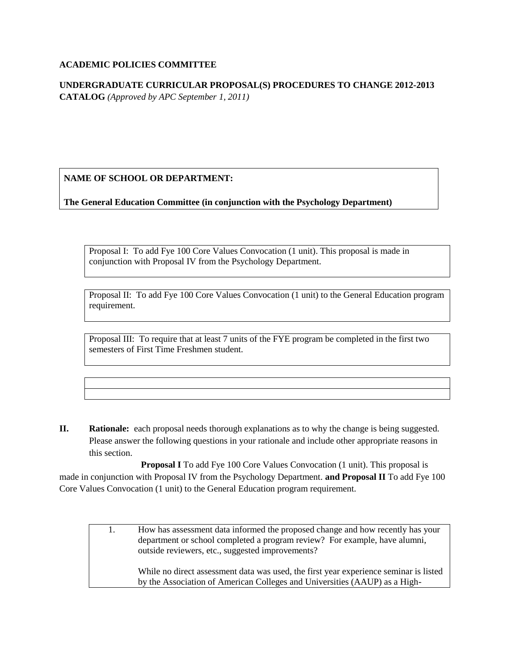#### **ACADEMIC POLICIES COMMITTEE**

**UNDERGRADUATE CURRICULAR PROPOSAL(S) PROCEDURES TO CHANGE 2012-2013 CATALOG** *(Approved by APC September 1, 2011)*

**NAME OF SCHOOL OR DEPARTMENT:**

**The General Education Committee (in conjunction with the Psychology Department)**

Proposal I: To add Fye 100 Core Values Convocation (1 unit). This proposal is made in conjunction with Proposal IV from the Psychology Department.

Proposal II: To add Fye 100 Core Values Convocation (1 unit) to the General Education program requirement.

Proposal III: To require that at least 7 units of the FYE program be completed in the first two semesters of First Time Freshmen student.

**II. Rationale:** each proposal needs thorough explanations as to why the change is being suggested. Please answer the following questions in your rationale and include other appropriate reasons in this section.

**Proposal I** To add Fye 100 Core Values Convocation (1 unit). This proposal is made in conjunction with Proposal IV from the Psychology Department. **and Proposal II** To add Fye 100 Core Values Convocation (1 unit) to the General Education program requirement.

> 1. How has assessment data informed the proposed change and how recently has your department or school completed a program review? For example, have alumni, outside reviewers, etc., suggested improvements?

While no direct assessment data was used, the first year experience seminar is listed by the Association of American Colleges and Universities (AAUP) as a High-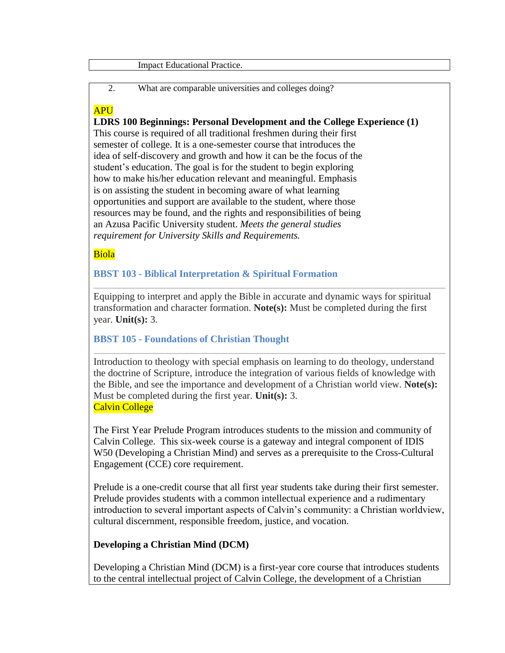#### Impact Educational Practice.

2. What are comparable universities and colleges doing?

# **APU**

**LDRS 100 Beginnings: Personal Development and the College Experience (1)** This course is required of all traditional freshmen during their first semester of college. It is a one-semester course that introduces the idea of self-discovery and growth and how it can be the focus of the student's education. The goal is for the student to begin exploring how to make his/her education relevant and meaningful. Emphasis is on assisting the student in becoming aware of what learning opportunities and support are available to the student, where those resources may be found, and the rights and responsibilities of being an Azusa Pacific University student. *Meets the general studies requirement for University Skills and Requirements.*

Biola

**BBST 103 - Biblical Interpretation & Spiritual Formation**

Equipping to interpret and apply the Bible in accurate and dynamic ways for spiritual transformation and character formation. **Note(s):** Must be completed during the first year. **Unit(s):** 3.

**BBST 105 - Foundations of Christian Thought**

Introduction to theology with special emphasis on learning to do theology, understand the doctrine of Scripture, introduce the integration of various fields of knowledge with the Bible, and see the importance and development of a Christian world view. **Note(s):** Must be completed during the first year. **Unit(s):** 3. Calvin College

The First Year Prelude Program introduces students to the mission and community of Calvin College. This six-week course is a gateway and integral component of IDIS W50 (Developing a Christian Mind) and serves as a prerequisite to the Cross-Cultural Engagement (CCE) core requirement.

Prelude is a one-credit course that all first year students take during their first semester. Prelude provides students with a common intellectual experience and a rudimentary introduction to several important aspects of Calvin's community: a Christian worldview, cultural discernment, responsible freedom, justice, and vocation.

## **Developing a Christian Mind (DCM)**

Developing a Christian Mind (DCM) is a first-year core course that introduces students to the central intellectual project of Calvin College, the development of a Christian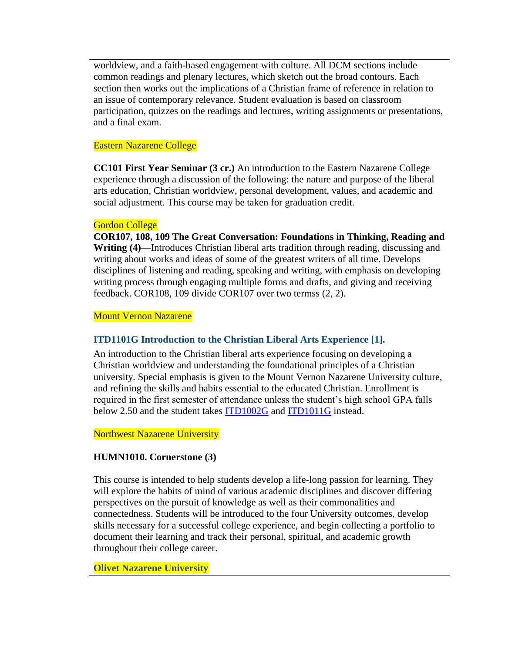worldview, and a faith-based engagement with culture. All DCM sections include common readings and plenary lectures, which sketch out the broad contours. Each section then works out the implications of a Christian frame of reference in relation to an issue of contemporary relevance. Student evaluation is based on classroom participation, quizzes on the readings and lectures, writing assignments or presentations, and a final exam.

### Eastern Nazarene College

**CC101 First Year Seminar (3 cr.)** An introduction to the Eastern Nazarene College experience through a discussion of the following: the nature and purpose of the liberal arts education, Christian worldview, personal development, values, and academic and social adjustment. This course may be taken for graduation credit.

### Gordon College

**COR107, 108, 109 The Great Conversation: Foundations in Thinking, Reading and Writing (4)**—Introduces Christian liberal arts tradition through reading, discussing and writing about works and ideas of some of the greatest writers of all time. Develops disciplines of listening and reading, speaking and writing, with emphasis on developing writing process through engaging multiple forms and drafts, and giving and receiving feedback. COR108, 109 divide COR107 over two termss (2, 2).

Mount Vernon Nazarene

### **ITD1101G Introduction to the Christian Liberal Arts Experience [1].**

An introduction to the Christian liberal arts experience focusing on developing a Christian worldview and understanding the foundational principles of a Christian university. Special emphasis is given to the Mount Vernon Nazarene University culture, and refining the skills and habits essential to the educated Christian. Enrollment is required in the first semester of attendance unless the student's high school GPA falls below 2.50 and the student takes [ITD1002G](http://www.mvnu.edu/catalog/1112/itd1002g-university-success-strategies-2.htm) and [ITD1011G](http://www.mvnu.edu/catalog/1112/itd1011g-critical-thinking-1.htm) instead.

Northwest Nazarene University

## **HUMN1010. Cornerstone (3)**

This course is intended to help students develop a life-long passion for learning. They will explore the habits of mind of various academic disciplines and discover differing perspectives on the pursuit of knowledge as well as their commonalities and connectedness. Students will be introduced to the four University outcomes, develop skills necessary for a successful college experience, and begin collecting a portfolio to document their learning and track their personal, spiritual, and academic growth throughout their college career.

**Olivet Nazarene University**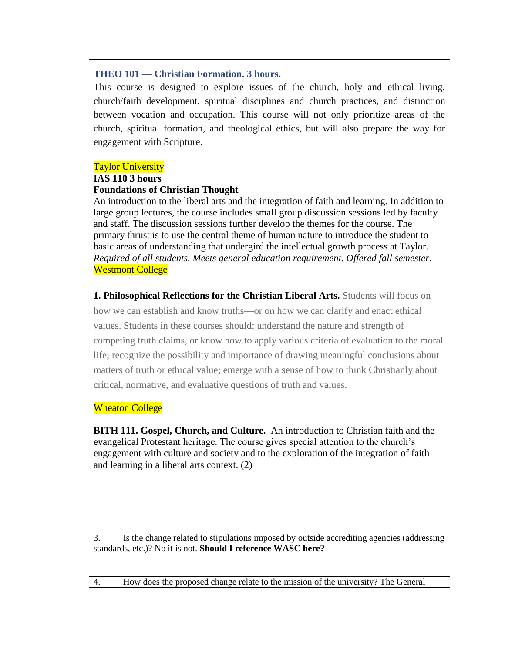### **THEO 101 — Christian Formation. 3 hours.**

This course is designed to explore issues of the church, holy and ethical living, church/faith development, spiritual disciplines and church practices, and distinction between vocation and occupation. This course will not only prioritize areas of the church, spiritual formation, and theological ethics, but will also prepare the way for engagement with Scripture.

#### Taylor University

#### **IAS 110 3 hours**

### **Foundations of Christian Thought**

An introduction to the liberal arts and the integration of faith and learning. In addition to large group lectures, the course includes small group discussion sessions led by faculty and staff. The discussion sessions further develop the themes for the course. The primary thrust is to use the central theme of human nature to introduce the student to basic areas of understanding that undergird the intellectual growth process at Taylor. *Required of all students. Meets general education requirement. Offered fall semester*. **Westmont College** 

**1. Philosophical Reflections for the Christian Liberal Arts.** Students will focus on

how we can establish and know truths—or on how we can clarify and enact ethical values. Students in these courses should: understand the nature and strength of competing truth claims, or know how to apply various criteria of evaluation to the moral life; recognize the possibility and importance of drawing meaningful conclusions about matters of truth or ethical value; emerge with a sense of how to think Christianly about critical, normative, and evaluative questions of truth and values.

### **Wheaton College**

**BITH 111. Gospel, Church, and Culture.** An introduction to Christian faith and the evangelical Protestant heritage. The course gives special attention to the church's engagement with culture and society and to the exploration of the integration of faith and learning in a liberal arts context. (2)

3. Is the change related to stipulations imposed by outside accrediting agencies (addressing standards, etc.)? No it is not. **Should I reference WASC here?**

4. How does the proposed change relate to the mission of the university? The General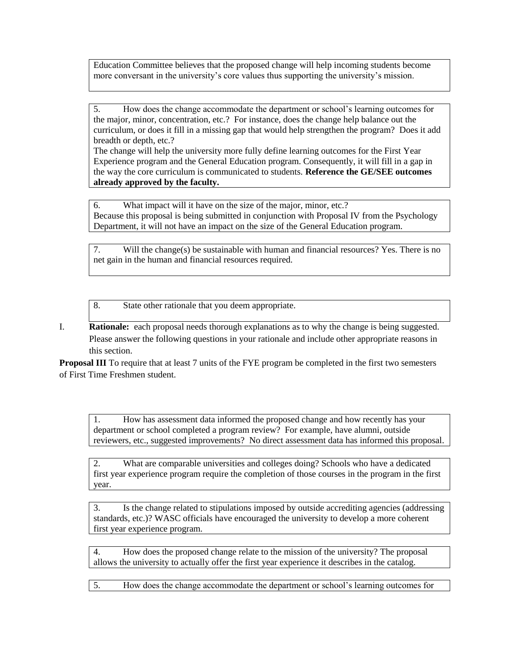Education Committee believes that the proposed change will help incoming students become more conversant in the university's core values thus supporting the university's mission.

5. How does the change accommodate the department or school's learning outcomes for the major, minor, concentration, etc.? For instance, does the change help balance out the curriculum, or does it fill in a missing gap that would help strengthen the program? Does it add breadth or depth, etc.?

The change will help the university more fully define learning outcomes for the First Year Experience program and the General Education program. Consequently, it will fill in a gap in the way the core curriculum is communicated to students. **Reference the GE/SEE outcomes already approved by the faculty.**

6. What impact will it have on the size of the major, minor, etc.? Because this proposal is being submitted in conjunction with Proposal IV from the Psychology Department, it will not have an impact on the size of the General Education program.

7. Will the change(s) be sustainable with human and financial resources? Yes. There is no net gain in the human and financial resources required.

8. State other rationale that you deem appropriate.

I. **Rationale:** each proposal needs thorough explanations as to why the change is being suggested. Please answer the following questions in your rationale and include other appropriate reasons in this section.

**Proposal III** To require that at least 7 units of the FYE program be completed in the first two semesters of First Time Freshmen student.

1. How has assessment data informed the proposed change and how recently has your department or school completed a program review? For example, have alumni, outside reviewers, etc., suggested improvements? No direct assessment data has informed this proposal.

2. What are comparable universities and colleges doing? Schools who have a dedicated first year experience program require the completion of those courses in the program in the first year.

3. Is the change related to stipulations imposed by outside accrediting agencies (addressing standards, etc.)? WASC officials have encouraged the university to develop a more coherent first year experience program.

4. How does the proposed change relate to the mission of the university? The proposal allows the university to actually offer the first year experience it describes in the catalog.

5. How does the change accommodate the department or school's learning outcomes for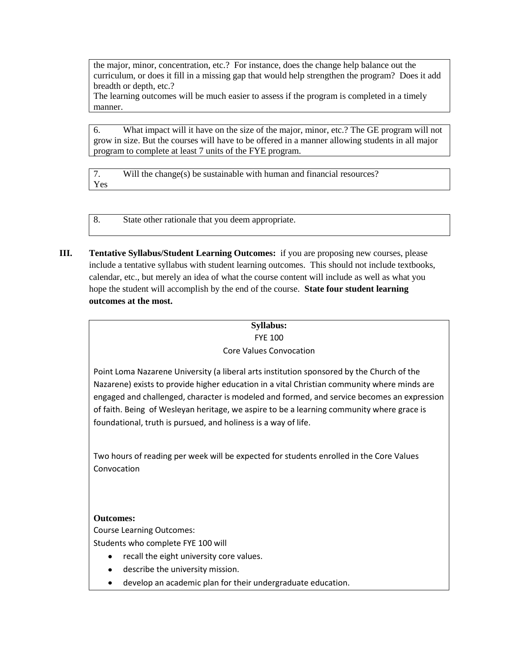the major, minor, concentration, etc.? For instance, does the change help balance out the curriculum, or does it fill in a missing gap that would help strengthen the program? Does it add breadth or depth, etc.?

The learning outcomes will be much easier to assess if the program is completed in a timely manner.

6. What impact will it have on the size of the major, minor, etc.? The GE program will not grow in size. But the courses will have to be offered in a manner allowing students in all major program to complete at least 7 units of the FYE program.

7. Will the change(s) be sustainable with human and financial resources? Yes

8. State other rationale that you deem appropriate.

**III. Tentative Syllabus/Student Learning Outcomes:** if you are proposing new courses, please include a tentative syllabus with student learning outcomes. This should not include textbooks, calendar, etc., but merely an idea of what the course content will include as well as what you hope the student will accomplish by the end of the course. **State four student learning outcomes at the most.** 

# **Syllabus:**

#### FYE 100 Core Values Convocation

Point Loma Nazarene University (a liberal arts institution sponsored by the Church of the Nazarene) exists to provide higher education in a vital Christian community where minds are engaged and challenged, character is modeled and formed, and service becomes an expression of faith. Being of Wesleyan heritage, we aspire to be a learning community where grace is foundational, truth is pursued, and holiness is a way of life.

Two hours of reading per week will be expected for students enrolled in the Core Values Convocation

### **Outcomes:**

Course Learning Outcomes:

Students who complete FYE 100 will

- recall the eight university core values.
- describe the university mission.
- develop an academic plan for their undergraduate education.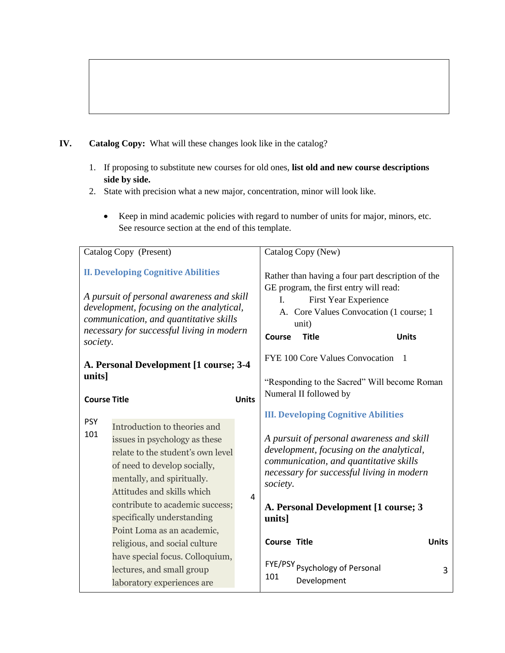### **IV. Catalog Copy:** What will these changes look like in the catalog?

- 1. If proposing to substitute new courses for old ones, **list old and new course descriptions side by side.**
- 2. State with precision what a new major, concentration, minor will look like.
	- Keep in mind academic policies with regard to number of units for major, minors, etc. See resource section at the end of this template.

| Catalog Copy (Present)                                                                                                                                                                                                                |                                                                                                                                                                                                | Catalog Copy (New)                                                                                                                                                                                                       |                     |                                                                                                                                                                              |              |
|---------------------------------------------------------------------------------------------------------------------------------------------------------------------------------------------------------------------------------------|------------------------------------------------------------------------------------------------------------------------------------------------------------------------------------------------|--------------------------------------------------------------------------------------------------------------------------------------------------------------------------------------------------------------------------|---------------------|------------------------------------------------------------------------------------------------------------------------------------------------------------------------------|--------------|
| <b>II. Developing Cognitive Abilities</b><br>A pursuit of personal awareness and skill<br>development, focusing on the analytical,<br>communication, and quantitative skills<br>necessary for successful living in modern<br>society. |                                                                                                                                                                                                | Rather than having a four part description of the<br>GE program, the first entry will read:<br>First Year Experience<br>L.<br>A. Core Values Convocation (1 course; 1<br>unit)<br>Course<br><b>Title</b><br><b>Units</b> |                     |                                                                                                                                                                              |              |
| A. Personal Development [1 course; 3-4<br>units]<br><b>Units</b><br><b>Course Title</b>                                                                                                                                               |                                                                                                                                                                                                | FYE 100 Core Values Convocation<br>$\overline{1}$<br>"Responding to the Sacred" Will become Roman<br>Numeral II followed by                                                                                              |                     |                                                                                                                                                                              |              |
|                                                                                                                                                                                                                                       |                                                                                                                                                                                                | <b>III. Developing Cognitive Abilities</b>                                                                                                                                                                               |                     |                                                                                                                                                                              |              |
| <b>PSY</b><br>101                                                                                                                                                                                                                     | Introduction to theories and<br>issues in psychology as these<br>relate to the student's own level<br>of need to develop socially,<br>mentally, and spiritually.<br>Attitudes and skills which |                                                                                                                                                                                                                          | society.            | A pursuit of personal awareness and skill<br>development, focusing on the analytical,<br>communication, and quantitative skills<br>necessary for successful living in modern |              |
|                                                                                                                                                                                                                                       | contribute to academic success;<br>specifically understanding<br>Point Loma as an academic,                                                                                                    | 4                                                                                                                                                                                                                        | units]              | A. Personal Development [1 course; 3                                                                                                                                         |              |
|                                                                                                                                                                                                                                       | religious, and social culture                                                                                                                                                                  |                                                                                                                                                                                                                          | <b>Course Title</b> |                                                                                                                                                                              | <b>Units</b> |
|                                                                                                                                                                                                                                       | have special focus. Colloquium,<br>lectures, and small group<br>laboratory experiences are                                                                                                     |                                                                                                                                                                                                                          | 101                 | FYE/PSY <sub>Psychology</sub> of Personal<br>Development                                                                                                                     | 3            |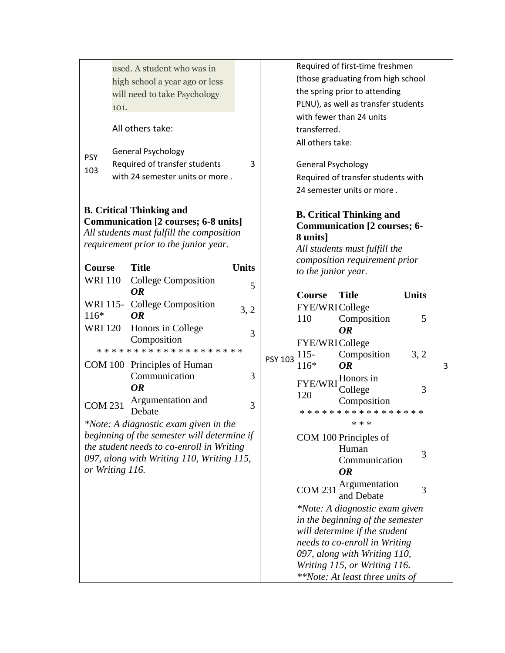|                                                                                                                                                               | 101.             | used. A student who was in<br>high school a year ago or less<br>will need to take Psychology  |              |                                  | Required of first-time freshmen<br>(those graduating from high school<br>the spring prior to attending<br>PLNU), as well as transfer students<br>with fewer than 24 units |                                                                                                                                                                                                                                         |              |   |
|---------------------------------------------------------------------------------------------------------------------------------------------------------------|------------------|-----------------------------------------------------------------------------------------------|--------------|----------------------------------|---------------------------------------------------------------------------------------------------------------------------------------------------------------------------|-----------------------------------------------------------------------------------------------------------------------------------------------------------------------------------------------------------------------------------------|--------------|---|
|                                                                                                                                                               | All others take: |                                                                                               |              | transferred.<br>All others take: |                                                                                                                                                                           |                                                                                                                                                                                                                                         |              |   |
| <b>PSY</b><br>103                                                                                                                                             |                  | <b>General Psychology</b><br>Required of transfer students<br>with 24 semester units or more. | 3            |                                  | <b>General Psychology</b>                                                                                                                                                 | Required of transfer students with<br>24 semester units or more.                                                                                                                                                                        |              |   |
| <b>B.</b> Critical Thinking and<br>Communication [2 courses; 6-8 units]<br>All students must fulfill the composition<br>requirement prior to the junior year. |                  |                                                                                               |              | 8 units]                         | <b>B.</b> Critical Thinking and<br><b>Communication [2 courses; 6-</b><br>All students must fulfill the                                                                   |                                                                                                                                                                                                                                         |              |   |
| Course<br><b>WRI 110</b>                                                                                                                                      |                  | <b>Title</b><br>College Composition                                                           | <b>Units</b> |                                  | to the junior year.                                                                                                                                                       | composition requirement prior                                                                                                                                                                                                           |              |   |
|                                                                                                                                                               |                  | <b>OR</b>                                                                                     | 5            |                                  | <b>Course</b>                                                                                                                                                             | <b>Title</b>                                                                                                                                                                                                                            | <b>Units</b> |   |
| $116*$                                                                                                                                                        |                  | WRI 115- College Composition<br><b>OR</b>                                                     | 3, 2         |                                  | FYE/WRICollege<br>110                                                                                                                                                     | Composition                                                                                                                                                                                                                             | 5            |   |
| <b>WRI 120</b>                                                                                                                                                |                  | Honors in College<br>Composition                                                              | 3            |                                  | FYE/WRICollege                                                                                                                                                            | <b>OR</b>                                                                                                                                                                                                                               |              |   |
|                                                                                                                                                               |                  | * * * * * * * * * * * * * * * * * * * *                                                       |              | <b>PSY 103</b>                   | $115 -$                                                                                                                                                                   | Composition                                                                                                                                                                                                                             | 3, 2         |   |
|                                                                                                                                                               |                  | COM 100 Principles of Human<br>Communication<br><b>OR</b>                                     | 3            |                                  | 116*<br><b>FYE/WRI</b><br>120                                                                                                                                             | <b>OR</b><br>Honors in<br>College                                                                                                                                                                                                       | 3            | 3 |
| <b>COM 231</b>                                                                                                                                                |                  | Argumentation and<br>Debate                                                                   | 3            |                                  |                                                                                                                                                                           | Composition<br>* * * * * * * * * * * * * * * * *                                                                                                                                                                                        |              |   |
|                                                                                                                                                               |                  | *Note: A diagnostic exam given in the                                                         |              |                                  |                                                                                                                                                                           | * * *                                                                                                                                                                                                                                   |              |   |
| beginning of the semester will determine if<br>the student needs to co-enroll in Writing<br>097, along with Writing 110, Writing 115,<br>or Writing 116.      |                  |                                                                                               |              |                                  |                                                                                                                                                                           | COM 100 Principles of<br>Human<br>Communication<br><b>OR</b>                                                                                                                                                                            | 3            |   |
|                                                                                                                                                               |                  |                                                                                               |              |                                  | <b>COM 231</b>                                                                                                                                                            | Argumentation<br>and Debate                                                                                                                                                                                                             | 3            |   |
|                                                                                                                                                               |                  |                                                                                               |              |                                  |                                                                                                                                                                           | *Note: A diagnostic exam given<br>in the beginning of the semester<br>will determine if the student<br>needs to co-enroll in Writing<br>097, along with Writing 110,<br>Writing 115, or Writing 116.<br>**Note: At least three units of |              |   |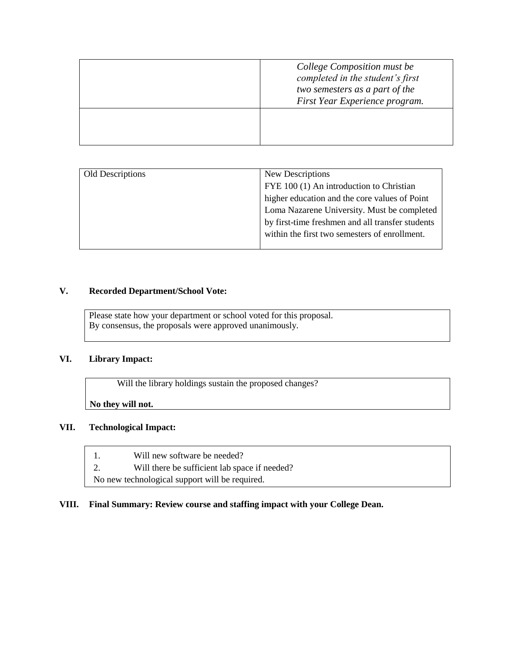| College Composition must be<br>completed in the student's first<br>two semesters as a part of the<br>First Year Experience program. |
|-------------------------------------------------------------------------------------------------------------------------------------|
|                                                                                                                                     |

| Old Descriptions | New Descriptions                                 |  |
|------------------|--------------------------------------------------|--|
|                  | FYE 100 (1) An introduction to Christian         |  |
|                  | higher education and the core values of Point    |  |
|                  | Loma Nazarene University. Must be completed      |  |
|                  | by first-time freshmen and all transfer students |  |
|                  | within the first two semesters of enrollment.    |  |
|                  |                                                  |  |

#### **V. Recorded Department/School Vote:**

Please state how your department or school voted for this proposal. By consensus, the proposals were approved unanimously.

#### **VI. Library Impact:**

Will the library holdings sustain the proposed changes?

**No they will not.**

#### **VII. Technological Impact:**

- 1. Will new software be needed?
- 2. Will there be sufficient lab space if needed?

No new technological support will be required.

#### **VIII. Final Summary: Review course and staffing impact with your College Dean.**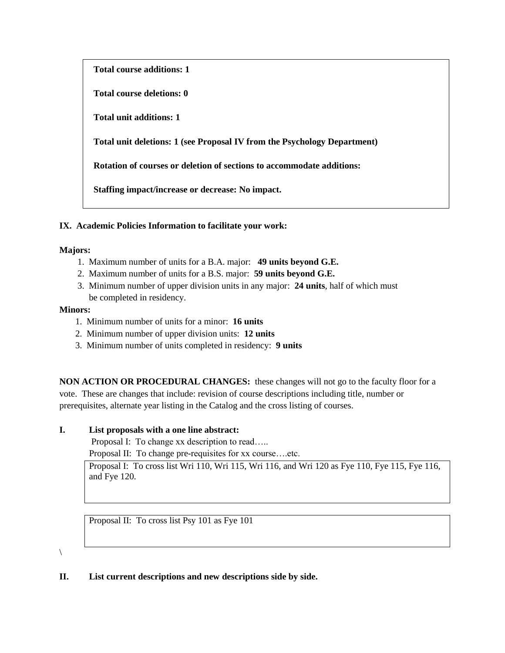**Total course additions: 1**

**Total course deletions: 0**

**Total unit additions: 1**

**Total unit deletions: 1 (see Proposal IV from the Psychology Department)**

**Rotation of courses or deletion of sections to accommodate additions:**

**Staffing impact/increase or decrease: No impact.**

#### **IX. Academic Policies Information to facilitate your work:**

#### **Majors:**

- 1. Maximum number of units for a B.A. major: **49 units beyond G.E.**
- 2. Maximum number of units for a B.S. major: **59 units beyond G.E.**
- 3. Minimum number of upper division units in any major: **24 units**, half of which must be completed in residency.

#### **Minors:**

- 1. Minimum number of units for a minor: **16 units**
- 2. Minimum number of upper division units: **12 units**
- 3. Minimum number of units completed in residency: **9 units**

**NON ACTION OR PROCEDURAL CHANGES:** these changes will not go to the faculty floor for a vote. These are changes that include: revision of course descriptions including title, number or prerequisites, alternate year listing in the Catalog and the cross listing of courses.

#### **I. List proposals with a one line abstract:**

Proposal I: To change xx description to read…..

Proposal II: To change pre-requisites for xx course….etc.

Proposal I: To cross list Wri 110, Wri 115, Wri 116, and Wri 120 as Fye 110, Fye 115, Fye 116, and Fye 120.

Proposal II: To cross list Psy 101 as Fye 101

 $\setminus$ 

**II. List current descriptions and new descriptions side by side.**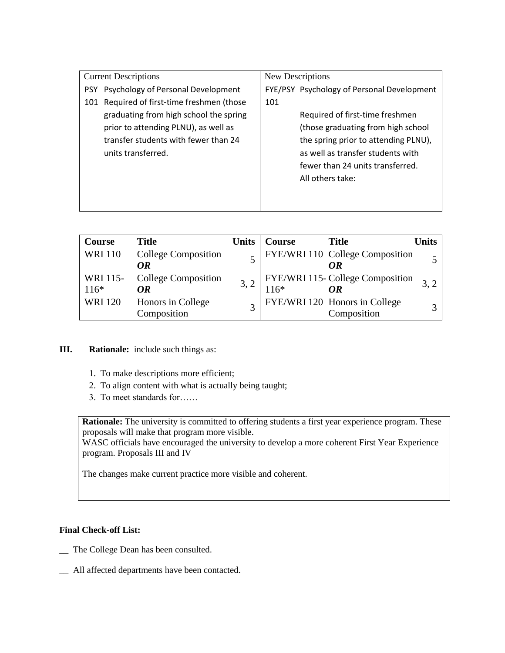| <b>Current Descriptions</b> |                                        | New Descriptions |                                            |  |
|-----------------------------|----------------------------------------|------------------|--------------------------------------------|--|
| <b>PSY</b>                  | Psychology of Personal Development     |                  | FYE/PSY Psychology of Personal Development |  |
| 101                         | Required of first-time freshmen (those | 101              |                                            |  |
|                             | graduating from high school the spring |                  | Required of first-time freshmen            |  |
|                             | prior to attending PLNU), as well as   |                  | (those graduating from high school         |  |
|                             | transfer students with fewer than 24   |                  | the spring prior to attending PLNU),       |  |
|                             | units transferred.                     |                  | as well as transfer students with          |  |
|                             |                                        |                  | fewer than 24 units transferred.           |  |
|                             |                                        |                  | All others take:                           |  |
|                             |                                        |                  |                                            |  |
|                             |                                        |                  |                                            |  |

| Course             | <b>Title</b>                     | <b>Units</b> | <b>Course</b> | <b>Title</b>                                 | Jnits |
|--------------------|----------------------------------|--------------|---------------|----------------------------------------------|-------|
| <b>WRI 110</b>     | <b>College Composition</b><br>OR |              |               | FYE/WRI 110 College Composition<br>OR        |       |
| WRI 115-<br>$116*$ | <b>College Composition</b><br>OR |              | $116*$        | FYE/WRI 115- College Composition<br>OR       |       |
| <b>WRI 120</b>     | Honors in College<br>Composition |              |               | FYE/WRI 120 Honors in College<br>Composition |       |

### **III. Rationale:** include such things as:

- 1. To make descriptions more efficient;
- 2. To align content with what is actually being taught;
- 3. To meet standards for……

**Rationale:** The university is committed to offering students a first year experience program. These proposals will make that program more visible.

WASC officials have encouraged the university to develop a more coherent First Year Experience program. Proposals III and IV

The changes make current practice more visible and coherent.

#### **Final Check-off List:**

- \_\_ The College Dean has been consulted.
- \_\_ All affected departments have been contacted.